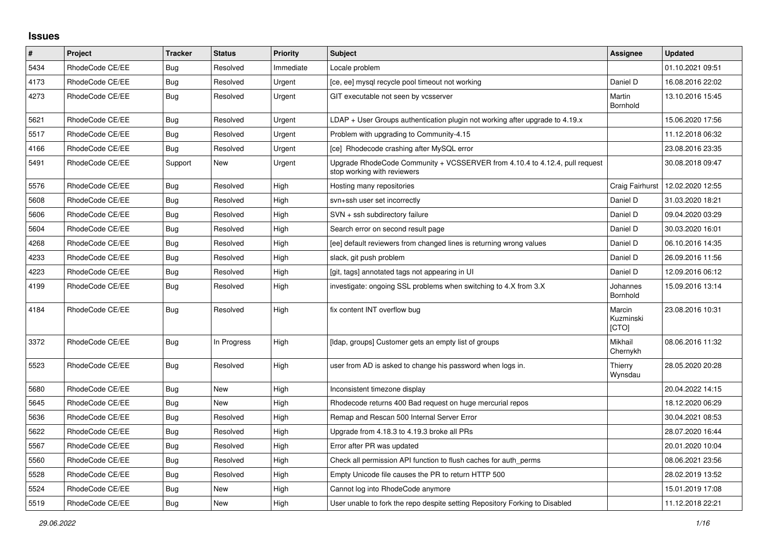## **Issues**

| $\pmb{\#}$ | Project         | <b>Tracker</b> | <b>Status</b> | <b>Priority</b> | <b>Subject</b>                                                                                             | Assignee                     | <b>Updated</b>   |
|------------|-----------------|----------------|---------------|-----------------|------------------------------------------------------------------------------------------------------------|------------------------------|------------------|
| 5434       | RhodeCode CE/EE | Bug            | Resolved      | Immediate       | Locale problem                                                                                             |                              | 01.10.2021 09:51 |
| 4173       | RhodeCode CE/EE | Bug            | Resolved      | Urgent          | [ce, ee] mysql recycle pool timeout not working                                                            | Daniel D                     | 16.08.2016 22:02 |
| 4273       | RhodeCode CE/EE | Bug            | Resolved      | Urgent          | GIT executable not seen by vcsserver                                                                       | Martin<br>Bornhold           | 13.10.2016 15:45 |
| 5621       | RhodeCode CE/EE | <b>Bug</b>     | Resolved      | Urgent          | $LDAP + User Groups$ authentication plugin not working after upgrade to 4.19. $x$                          |                              | 15.06.2020 17:56 |
| 5517       | RhodeCode CE/EE | Bug            | Resolved      | Urgent          | Problem with upgrading to Community-4.15                                                                   |                              | 11.12.2018 06:32 |
| 4166       | RhodeCode CE/EE | <b>Bug</b>     | Resolved      | Urgent          | [ce] Rhodecode crashing after MySQL error                                                                  |                              | 23.08.2016 23:35 |
| 5491       | RhodeCode CE/EE | Support        | <b>New</b>    | Urgent          | Upgrade RhodeCode Community + VCSSERVER from 4.10.4 to 4.12.4, pull request<br>stop working with reviewers |                              | 30.08.2018 09:47 |
| 5576       | RhodeCode CE/EE | Bug            | Resolved      | High            | Hosting many repositories                                                                                  | Craig Fairhurst              | 12.02.2020 12:55 |
| 5608       | RhodeCode CE/EE | <b>Bug</b>     | Resolved      | High            | svn+ssh user set incorrectly                                                                               | Daniel D                     | 31.03.2020 18:21 |
| 5606       | RhodeCode CE/EE | Bug            | Resolved      | High            | SVN + ssh subdirectory failure                                                                             | Daniel D                     | 09.04.2020 03:29 |
| 5604       | RhodeCode CE/EE | <b>Bug</b>     | Resolved      | High            | Search error on second result page                                                                         | Daniel D                     | 30.03.2020 16:01 |
| 4268       | RhodeCode CE/EE | <b>Bug</b>     | Resolved      | High            | [ee] default reviewers from changed lines is returning wrong values                                        | Daniel D                     | 06.10.2016 14:35 |
| 4233       | RhodeCode CE/EE | Bug            | Resolved      | High            | slack, git push problem                                                                                    | Daniel D                     | 26.09.2016 11:56 |
| 4223       | RhodeCode CE/EE | <b>Bug</b>     | Resolved      | High            | [git, tags] annotated tags not appearing in UI                                                             | Daniel D                     | 12.09.2016 06:12 |
| 4199       | RhodeCode CE/EE | <b>Bug</b>     | Resolved      | High            | investigate: ongoing SSL problems when switching to 4.X from 3.X                                           | Johannes<br>Bornhold         | 15.09.2016 13:14 |
| 4184       | RhodeCode CE/EE | Bug            | Resolved      | High            | fix content INT overflow bug                                                                               | Marcin<br>Kuzminski<br>[CTO] | 23.08.2016 10:31 |
| 3372       | RhodeCode CE/EE | Bug            | In Progress   | High            | [Idap, groups] Customer gets an empty list of groups                                                       | Mikhail<br>Chernykh          | 08.06.2016 11:32 |
| 5523       | RhodeCode CE/EE | Bug            | Resolved      | High            | user from AD is asked to change his password when logs in.                                                 | Thierry<br>Wynsdau           | 28.05.2020 20:28 |
| 5680       | RhodeCode CE/EE | <b>Bug</b>     | New           | High            | Inconsistent timezone display                                                                              |                              | 20.04.2022 14:15 |
| 5645       | RhodeCode CE/EE | Bug            | New           | High            | Rhodecode returns 400 Bad request on huge mercurial repos                                                  |                              | 18.12.2020 06:29 |
| 5636       | RhodeCode CE/EE | Bug            | Resolved      | High            | Remap and Rescan 500 Internal Server Error                                                                 |                              | 30.04.2021 08:53 |
| 5622       | RhodeCode CE/EE | <b>Bug</b>     | Resolved      | High            | Upgrade from 4.18.3 to 4.19.3 broke all PRs                                                                |                              | 28.07.2020 16:44 |
| 5567       | RhodeCode CE/EE | <b>Bug</b>     | Resolved      | High            | Error after PR was updated                                                                                 |                              | 20.01.2020 10:04 |
| 5560       | RhodeCode CE/EE | Bug            | Resolved      | High            | Check all permission API function to flush caches for auth perms                                           |                              | 08.06.2021 23:56 |
| 5528       | RhodeCode CE/EE | <b>Bug</b>     | Resolved      | High            | Empty Unicode file causes the PR to return HTTP 500                                                        |                              | 28.02.2019 13:52 |
| 5524       | RhodeCode CE/EE | <b>Bug</b>     | New           | High            | Cannot log into RhodeCode anymore                                                                          |                              | 15.01.2019 17:08 |
| 5519       | RhodeCode CE/EE | Bug            | New           | High            | User unable to fork the repo despite setting Repository Forking to Disabled                                |                              | 11.12.2018 22:21 |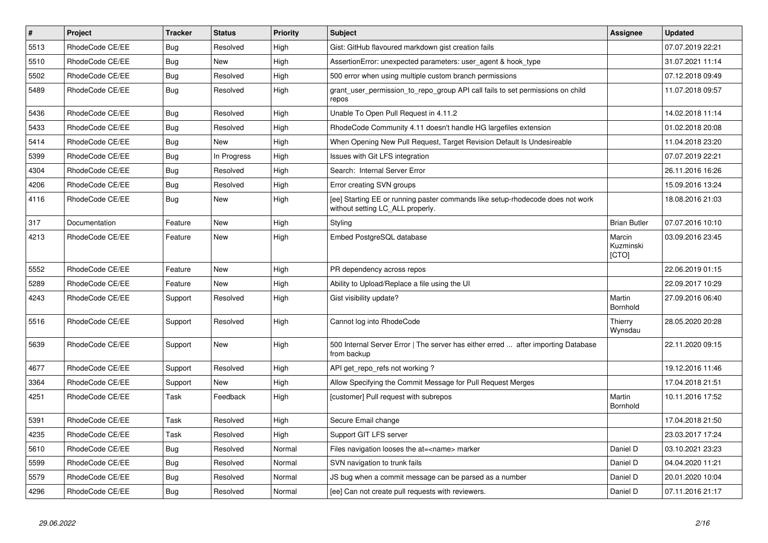| $\sharp$ | Project         | <b>Tracker</b> | <b>Status</b> | <b>Priority</b> | Subject                                                                                                            | Assignee                     | <b>Updated</b>   |
|----------|-----------------|----------------|---------------|-----------------|--------------------------------------------------------------------------------------------------------------------|------------------------------|------------------|
| 5513     | RhodeCode CE/EE | Bug            | Resolved      | High            | Gist: GitHub flavoured markdown gist creation fails                                                                |                              | 07.07.2019 22:21 |
| 5510     | RhodeCode CE/EE | Bug            | <b>New</b>    | High            | AssertionError: unexpected parameters: user agent & hook type                                                      |                              | 31.07.2021 11:14 |
| 5502     | RhodeCode CE/EE | Bug            | Resolved      | High            | 500 error when using multiple custom branch permissions                                                            |                              | 07.12.2018 09:49 |
| 5489     | RhodeCode CE/EE | Bug            | Resolved      | High            | grant_user_permission_to_repo_group API call fails to set permissions on child<br>repos                            |                              | 11.07.2018 09:57 |
| 5436     | RhodeCode CE/EE | <b>Bug</b>     | Resolved      | High            | Unable To Open Pull Request in 4.11.2                                                                              |                              | 14.02.2018 11:14 |
| 5433     | RhodeCode CE/EE | Bug            | Resolved      | High            | RhodeCode Community 4.11 doesn't handle HG largefiles extension                                                    |                              | 01.02.2018 20:08 |
| 5414     | RhodeCode CE/EE | Bug            | <b>New</b>    | High            | When Opening New Pull Request, Target Revision Default Is Undesireable                                             |                              | 11.04.2018 23:20 |
| 5399     | RhodeCode CE/EE | Bug            | In Progress   | High            | Issues with Git LFS integration                                                                                    |                              | 07.07.2019 22:21 |
| 4304     | RhodeCode CE/EE | Bug            | Resolved      | High            | Search: Internal Server Error                                                                                      |                              | 26.11.2016 16:26 |
| 4206     | RhodeCode CE/EE | Bug            | Resolved      | High            | Error creating SVN groups                                                                                          |                              | 15.09.2016 13:24 |
| 4116     | RhodeCode CE/EE | Bug            | <b>New</b>    | High            | [ee] Starting EE or running paster commands like setup-rhodecode does not work<br>without setting LC ALL properly. |                              | 18.08.2016 21:03 |
| 317      | Documentation   | Feature        | <b>New</b>    | High            | Styling                                                                                                            | <b>Brian Butler</b>          | 07.07.2016 10:10 |
| 4213     | RhodeCode CE/EE | Feature        | <b>New</b>    | High            | Embed PostgreSQL database                                                                                          | Marcin<br>Kuzminski<br>[CTO] | 03.09.2016 23:45 |
| 5552     | RhodeCode CE/EE | Feature        | <b>New</b>    | High            | PR dependency across repos                                                                                         |                              | 22.06.2019 01:15 |
| 5289     | RhodeCode CE/EE | Feature        | <b>New</b>    | High            | Ability to Upload/Replace a file using the UI                                                                      |                              | 22.09.2017 10:29 |
| 4243     | RhodeCode CE/EE | Support        | Resolved      | High            | Gist visibility update?                                                                                            | Martin<br>Bornhold           | 27.09.2016 06:40 |
| 5516     | RhodeCode CE/EE | Support        | Resolved      | High            | Cannot log into RhodeCode                                                                                          | Thierry<br>Wynsdau           | 28.05.2020 20:28 |
| 5639     | RhodeCode CE/EE | Support        | <b>New</b>    | High            | 500 Internal Server Error   The server has either erred  after importing Database<br>from backup                   |                              | 22.11.2020 09:15 |
| 4677     | RhodeCode CE/EE | Support        | Resolved      | High            | API get repo refs not working?                                                                                     |                              | 19.12.2016 11:46 |
| 3364     | RhodeCode CE/EE | Support        | <b>New</b>    | High            | Allow Specifying the Commit Message for Pull Request Merges                                                        |                              | 17.04.2018 21:51 |
| 4251     | RhodeCode CE/EE | Task           | Feedback      | High            | [customer] Pull request with subrepos                                                                              | Martin<br>Bornhold           | 10.11.2016 17:52 |
| 5391     | RhodeCode CE/EE | Task           | Resolved      | High            | Secure Email change                                                                                                |                              | 17.04.2018 21:50 |
| 4235     | RhodeCode CE/EE | Task           | Resolved      | High            | Support GIT LFS server                                                                                             |                              | 23.03.2017 17:24 |
| 5610     | RhodeCode CE/EE | Bug            | Resolved      | Normal          | Files navigation looses the at= <name> marker</name>                                                               | Daniel D                     | 03.10.2021 23:23 |
| 5599     | RhodeCode CE/EE | <b>Bug</b>     | Resolved      | Normal          | SVN navigation to trunk fails                                                                                      | Daniel D                     | 04.04.2020 11:21 |
| 5579     | RhodeCode CE/EE | Bug            | Resolved      | Normal          | JS bug when a commit message can be parsed as a number                                                             | Daniel D                     | 20.01.2020 10:04 |
| 4296     | RhodeCode CE/EE | Bug            | Resolved      | Normal          | [ee] Can not create pull requests with reviewers.                                                                  | Daniel D                     | 07.11.2016 21:17 |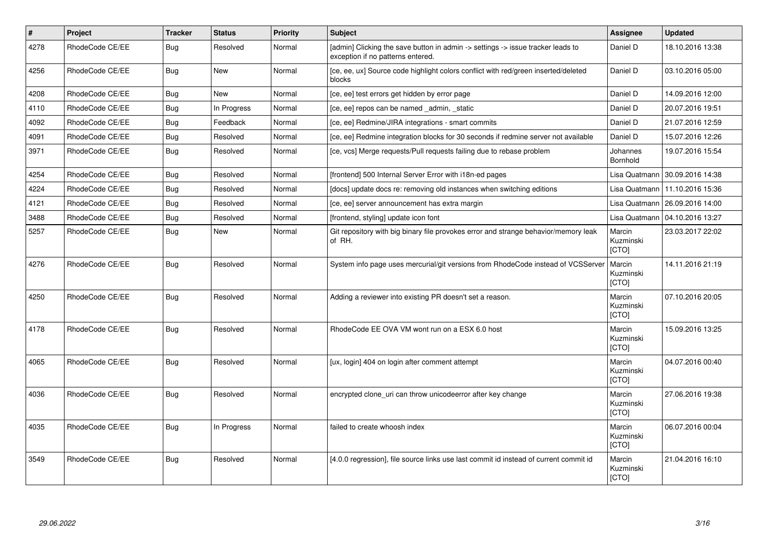| #    | <b>Project</b>  | <b>Tracker</b> | <b>Status</b> | <b>Priority</b> | <b>Subject</b>                                                                                                       | <b>Assignee</b>                     | <b>Updated</b>                   |
|------|-----------------|----------------|---------------|-----------------|----------------------------------------------------------------------------------------------------------------------|-------------------------------------|----------------------------------|
| 4278 | RhodeCode CE/EE | Bug            | Resolved      | Normal          | [admin] Clicking the save button in admin -> settings -> issue tracker leads to<br>exception if no patterns entered. | Daniel D                            | 18.10.2016 13:38                 |
| 4256 | RhodeCode CE/EE | Bug            | <b>New</b>    | Normal          | [ce, ee, ux] Source code highlight colors conflict with red/green inserted/deleted<br>blocks                         | Daniel D                            | 03.10.2016 05:00                 |
| 4208 | RhodeCode CE/EE | Bug            | <b>New</b>    | Normal          | [ce, ee] test errors get hidden by error page                                                                        | Daniel D                            | 14.09.2016 12:00                 |
| 4110 | RhodeCode CE/EE | Bug            | In Progress   | Normal          | [ce, ee] repos can be named admin, static                                                                            | Daniel D                            | 20.07.2016 19:51                 |
| 4092 | RhodeCode CE/EE | <b>Bug</b>     | Feedback      | Normal          | [ce, ee] Redmine/JIRA integrations - smart commits                                                                   | Daniel D                            | 21.07.2016 12:59                 |
| 4091 | RhodeCode CE/EE | Bug            | Resolved      | Normal          | [ce, ee] Redmine integration blocks for 30 seconds if redmine server not available                                   | Daniel D                            | 15.07.2016 12:26                 |
| 3971 | RhodeCode CE/EE | <b>Bug</b>     | Resolved      | Normal          | [ce, vcs] Merge requests/Pull requests failing due to rebase problem                                                 | Johannes<br>Bornhold                | 19.07.2016 15:54                 |
| 4254 | RhodeCode CE/EE | Bug            | Resolved      | Normal          | [frontend] 500 Internal Server Error with i18n-ed pages                                                              | Lisa Quatmann                       | 30.09.2016 14:38                 |
| 4224 | RhodeCode CE/EE | Bug            | Resolved      | Normal          | [docs] update docs re: removing old instances when switching editions                                                |                                     | Lisa Quatmann   11.10.2016 15:36 |
| 4121 | RhodeCode CE/EE | Bug            | Resolved      | Normal          | [ce, ee] server announcement has extra margin                                                                        | Lisa Quatmann                       | 26.09.2016 14:00                 |
| 3488 | RhodeCode CE/EE | Bug            | Resolved      | Normal          | [frontend, styling] update icon font                                                                                 | Lisa Quatmann                       | 04.10.2016 13:27                 |
| 5257 | RhodeCode CE/EE | Bug            | <b>New</b>    | Normal          | Git repository with big binary file provokes error and strange behavior/memory leak<br>of RH.                        | Marcin<br>Kuzminski<br>[CTO]        | 23.03.2017 22:02                 |
| 4276 | RhodeCode CE/EE | Bug            | Resolved      | Normal          | System info page uses mercurial/git versions from RhodeCode instead of VCSServer                                     | Marcin<br>Kuzminski<br>[CTO]        | 14.11.2016 21:19                 |
| 4250 | RhodeCode CE/EE | Bug            | Resolved      | Normal          | Adding a reviewer into existing PR doesn't set a reason.                                                             | Marcin<br>Kuzminski<br><b>[CTO]</b> | 07.10.2016 20:05                 |
| 4178 | RhodeCode CE/EE | Bug            | Resolved      | Normal          | RhodeCode EE OVA VM wont run on a ESX 6.0 host                                                                       | Marcin<br>Kuzminski<br>[CTO]        | 15.09.2016 13:25                 |
| 4065 | RhodeCode CE/EE | Bug            | Resolved      | Normal          | [ux, login] 404 on login after comment attempt                                                                       | Marcin<br>Kuzminski<br>[CTO]        | 04.07.2016 00:40                 |
| 4036 | RhodeCode CE/EE | Bug            | Resolved      | Normal          | encrypted clone uri can throw unicodeerror after key change                                                          | Marcin<br>Kuzminski<br>[CTO]        | 27.06.2016 19:38                 |
| 4035 | RhodeCode CE/EE | Bug            | In Progress   | Normal          | failed to create whoosh index                                                                                        | Marcin<br>Kuzminski<br>[CTO]        | 06.07.2016 00:04                 |
| 3549 | RhodeCode CE/EE | Bug            | Resolved      | Normal          | [4.0.0 regression], file source links use last commit id instead of current commit id                                | Marcin<br>Kuzminski<br>[CTO]        | 21.04.2016 16:10                 |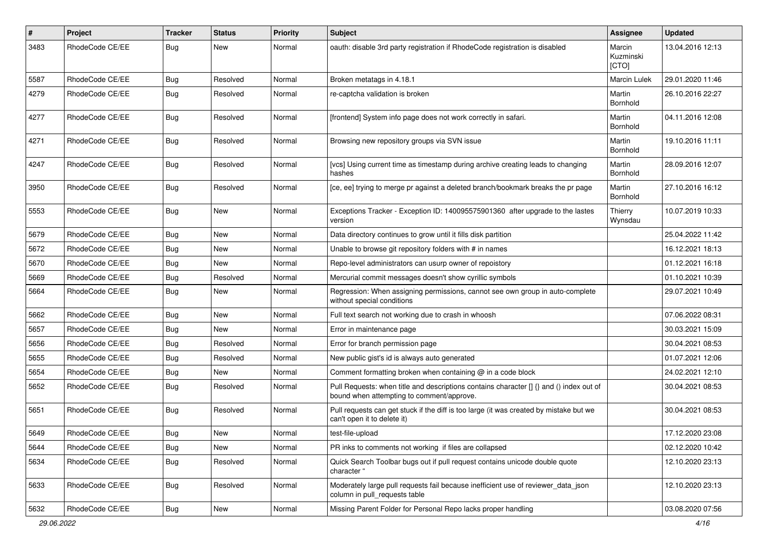| $\#$ | Project         | Tracker    | <b>Status</b> | <b>Priority</b> | Subject                                                                                                                              | Assignee                     | <b>Updated</b>   |
|------|-----------------|------------|---------------|-----------------|--------------------------------------------------------------------------------------------------------------------------------------|------------------------------|------------------|
| 3483 | RhodeCode CE/EE | <b>Bug</b> | New           | Normal          | oauth: disable 3rd party registration if RhodeCode registration is disabled                                                          | Marcin<br>Kuzminski<br>[CTO] | 13.04.2016 12:13 |
| 5587 | RhodeCode CE/EE | Bug        | Resolved      | Normal          | Broken metatags in 4.18.1                                                                                                            | Marcin Lulek                 | 29.01.2020 11:46 |
| 4279 | RhodeCode CE/EE | <b>Bug</b> | Resolved      | Normal          | re-captcha validation is broken                                                                                                      | Martin<br>Bornhold           | 26.10.2016 22:27 |
| 4277 | RhodeCode CE/EE | Bug        | Resolved      | Normal          | [frontend] System info page does not work correctly in safari.                                                                       | Martin<br>Bornhold           | 04.11.2016 12:08 |
| 4271 | RhodeCode CE/EE | <b>Bug</b> | Resolved      | Normal          | Browsing new repository groups via SVN issue                                                                                         | Martin<br>Bornhold           | 19.10.2016 11:11 |
| 4247 | RhodeCode CE/EE | Bug        | Resolved      | Normal          | [vcs] Using current time as timestamp during archive creating leads to changing<br>hashes                                            | Martin<br>Bornhold           | 28.09.2016 12:07 |
| 3950 | RhodeCode CE/EE | Bug        | Resolved      | Normal          | [ce, ee] trying to merge pr against a deleted branch/bookmark breaks the pr page                                                     | Martin<br>Bornhold           | 27.10.2016 16:12 |
| 5553 | RhodeCode CE/EE | Bug        | New           | Normal          | Exceptions Tracker - Exception ID: 140095575901360 after upgrade to the lastes<br>version                                            | Thierry<br>Wynsdau           | 10.07.2019 10:33 |
| 5679 | RhodeCode CE/EE | <b>Bug</b> | New           | Normal          | Data directory continues to grow until it fills disk partition                                                                       |                              | 25.04.2022 11:42 |
| 5672 | RhodeCode CE/EE | <b>Bug</b> | New           | Normal          | Unable to browse git repository folders with # in names                                                                              |                              | 16.12.2021 18:13 |
| 5670 | RhodeCode CE/EE | <b>Bug</b> | New           | Normal          | Repo-level administrators can usurp owner of repoistory                                                                              |                              | 01.12.2021 16:18 |
| 5669 | RhodeCode CE/EE | <b>Bug</b> | Resolved      | Normal          | Mercurial commit messages doesn't show cyrillic symbols                                                                              |                              | 01.10.2021 10:39 |
| 5664 | RhodeCode CE/EE | <b>Bug</b> | New           | Normal          | Regression: When assigning permissions, cannot see own group in auto-complete<br>without special conditions                          |                              | 29.07.2021 10:49 |
| 5662 | RhodeCode CE/EE | <b>Bug</b> | New           | Normal          | Full text search not working due to crash in whoosh                                                                                  |                              | 07.06.2022 08:31 |
| 5657 | RhodeCode CE/EE | Bug        | New           | Normal          | Error in maintenance page                                                                                                            |                              | 30.03.2021 15:09 |
| 5656 | RhodeCode CE/EE | <b>Bug</b> | Resolved      | Normal          | Error for branch permission page                                                                                                     |                              | 30.04.2021 08:53 |
| 5655 | RhodeCode CE/EE | <b>Bug</b> | Resolved      | Normal          | New public gist's id is always auto generated                                                                                        |                              | 01.07.2021 12:06 |
| 5654 | RhodeCode CE/EE | Bug        | New           | Normal          | Comment formatting broken when containing @ in a code block                                                                          |                              | 24.02.2021 12:10 |
| 5652 | RhodeCode CE/EE | <b>Bug</b> | Resolved      | Normal          | Pull Requests: when title and descriptions contains character [] {} and () index out of<br>bound when attempting to comment/approve. |                              | 30.04.2021 08:53 |
| 5651 | RhodeCode CE/EE | Bug        | Resolved      | Normal          | Pull requests can get stuck if the diff is too large (it was created by mistake but we<br>can't open it to delete it)                |                              | 30.04.2021 08:53 |
| 5649 | RhodeCode CE/EE | <b>Bug</b> | New           | Normal          | test-file-upload                                                                                                                     |                              | 17.12.2020 23:08 |
| 5644 | RhodeCode CE/EE | Bug        | New           | Normal          | PR inks to comments not working if files are collapsed                                                                               |                              | 02.12.2020 10:42 |
| 5634 | RhodeCode CE/EE | Bug        | Resolved      | Normal          | Quick Search Toolbar bugs out if pull request contains unicode double quote<br>character "                                           |                              | 12.10.2020 23:13 |
| 5633 | RhodeCode CE/EE | Bug        | Resolved      | Normal          | Moderately large pull requests fail because inefficient use of reviewer_data_json<br>column in pull requests table                   |                              | 12.10.2020 23:13 |
| 5632 | RhodeCode CE/EE | <b>Bug</b> | New           | Normal          | Missing Parent Folder for Personal Repo lacks proper handling                                                                        |                              | 03.08.2020 07:56 |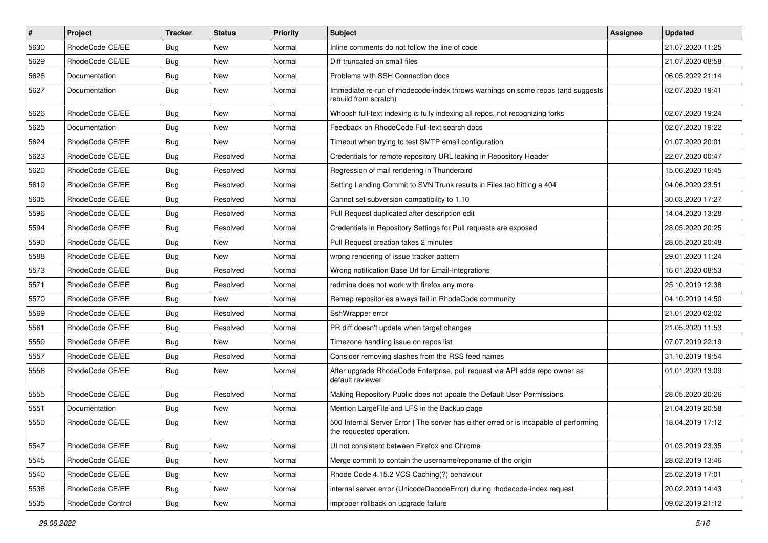| $\vert$ # | Project           | <b>Tracker</b> | <b>Status</b> | <b>Priority</b> | <b>Subject</b>                                                                                                    | Assignee | <b>Updated</b>   |
|-----------|-------------------|----------------|---------------|-----------------|-------------------------------------------------------------------------------------------------------------------|----------|------------------|
| 5630      | RhodeCode CE/EE   | Bug            | New           | Normal          | Inline comments do not follow the line of code                                                                    |          | 21.07.2020 11:25 |
| 5629      | RhodeCode CE/EE   | Bug            | New           | Normal          | Diff truncated on small files                                                                                     |          | 21.07.2020 08:58 |
| 5628      | Documentation     | Bug            | New           | Normal          | Problems with SSH Connection docs                                                                                 |          | 06.05.2022 21:14 |
| 5627      | Documentation     | Bug            | New           | Normal          | Immediate re-run of rhodecode-index throws warnings on some repos (and suggests<br>rebuild from scratch)          |          | 02.07.2020 19:41 |
| 5626      | RhodeCode CE/EE   | Bug            | New           | Normal          | Whoosh full-text indexing is fully indexing all repos, not recognizing forks                                      |          | 02.07.2020 19:24 |
| 5625      | Documentation     | Bug            | New           | Normal          | Feedback on RhodeCode Full-text search docs                                                                       |          | 02.07.2020 19:22 |
| 5624      | RhodeCode CE/EE   | Bug            | <b>New</b>    | Normal          | Timeout when trying to test SMTP email configuration                                                              |          | 01.07.2020 20:01 |
| 5623      | RhodeCode CE/EE   | Bug            | Resolved      | Normal          | Credentials for remote repository URL leaking in Repository Header                                                |          | 22.07.2020 00:47 |
| 5620      | RhodeCode CE/EE   | Bug            | Resolved      | Normal          | Regression of mail rendering in Thunderbird                                                                       |          | 15.06.2020 16:45 |
| 5619      | RhodeCode CE/EE   | Bug            | Resolved      | Normal          | Setting Landing Commit to SVN Trunk results in Files tab hitting a 404                                            |          | 04.06.2020 23:51 |
| 5605      | RhodeCode CE/EE   | Bug            | Resolved      | Normal          | Cannot set subversion compatibility to 1.10                                                                       |          | 30.03.2020 17:27 |
| 5596      | RhodeCode CE/EE   | Bug            | Resolved      | Normal          | Pull Request duplicated after description edit                                                                    |          | 14.04.2020 13:28 |
| 5594      | RhodeCode CE/EE   | Bug            | Resolved      | Normal          | Credentials in Repository Settings for Pull requests are exposed                                                  |          | 28.05.2020 20:25 |
| 5590      | RhodeCode CE/EE   | Bug            | New           | Normal          | Pull Request creation takes 2 minutes                                                                             |          | 28.05.2020 20:48 |
| 5588      | RhodeCode CE/EE   | Bug            | <b>New</b>    | Normal          | wrong rendering of issue tracker pattern                                                                          |          | 29.01.2020 11:24 |
| 5573      | RhodeCode CE/EE   | Bug            | Resolved      | Normal          | Wrong notification Base Url for Email-Integrations                                                                |          | 16.01.2020 08:53 |
| 5571      | RhodeCode CE/EE   | Bug            | Resolved      | Normal          | redmine does not work with firefox any more                                                                       |          | 25.10.2019 12:38 |
| 5570      | RhodeCode CE/EE   | Bug            | New           | Normal          | Remap repositories always fail in RhodeCode community                                                             |          | 04.10.2019 14:50 |
| 5569      | RhodeCode CE/EE   | Bug            | Resolved      | Normal          | SshWrapper error                                                                                                  |          | 21.01.2020 02:02 |
| 5561      | RhodeCode CE/EE   | Bug            | Resolved      | Normal          | PR diff doesn't update when target changes                                                                        |          | 21.05.2020 11:53 |
| 5559      | RhodeCode CE/EE   | <b>Bug</b>     | New           | Normal          | Timezone handling issue on repos list                                                                             |          | 07.07.2019 22:19 |
| 5557      | RhodeCode CE/EE   | Bug            | Resolved      | Normal          | Consider removing slashes from the RSS feed names                                                                 |          | 31.10.2019 19:54 |
| 5556      | RhodeCode CE/EE   | Bug            | New           | Normal          | After upgrade RhodeCode Enterprise, pull request via API adds repo owner as<br>default reviewer                   |          | 01.01.2020 13:09 |
| 5555      | RhodeCode CE/EE   | Bug            | Resolved      | Normal          | Making Repository Public does not update the Default User Permissions                                             |          | 28.05.2020 20:26 |
| 5551      | Documentation     | Bug            | New           | Normal          | Mention LargeFile and LFS in the Backup page                                                                      |          | 21.04.2019 20:58 |
| 5550      | RhodeCode CE/EE   | Bug            | New           | Normal          | 500 Internal Server Error   The server has either erred or is incapable of performing<br>the requested operation. |          | 18.04.2019 17:12 |
| 5547      | RhodeCode CE/EE   | Bug            | New           | Normal          | UI not consistent between Firefox and Chrome                                                                      |          | 01.03.2019 23:35 |
| 5545      | RhodeCode CE/EE   | Bug            | New           | Normal          | Merge commit to contain the username/reponame of the origin                                                       |          | 28.02.2019 13:46 |
| 5540      | RhodeCode CE/EE   | <b>Bug</b>     | New           | Normal          | Rhode Code 4.15.2 VCS Caching(?) behaviour                                                                        |          | 25.02.2019 17:01 |
| 5538      | RhodeCode CE/EE   | Bug            | New           | Normal          | internal server error (UnicodeDecodeError) during rhodecode-index request                                         |          | 20.02.2019 14:43 |
| 5535      | RhodeCode Control | <b>Bug</b>     | New           | Normal          | improper rollback on upgrade failure                                                                              |          | 09.02.2019 21:12 |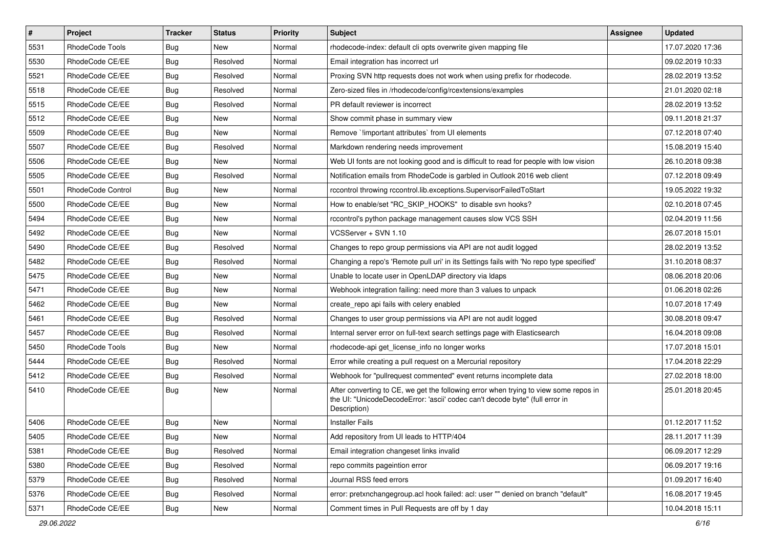| $\sharp$ | Project           | <b>Tracker</b> | <b>Status</b> | <b>Priority</b> | <b>Subject</b>                                                                                                                                                                       | <b>Assignee</b> | <b>Updated</b>   |
|----------|-------------------|----------------|---------------|-----------------|--------------------------------------------------------------------------------------------------------------------------------------------------------------------------------------|-----------------|------------------|
| 5531     | RhodeCode Tools   | Bug            | <b>New</b>    | Normal          | rhodecode-index: default cli opts overwrite given mapping file                                                                                                                       |                 | 17.07.2020 17:36 |
| 5530     | RhodeCode CE/EE   | Bug            | Resolved      | Normal          | Email integration has incorrect url                                                                                                                                                  |                 | 09.02.2019 10:33 |
| 5521     | RhodeCode CE/EE   | Bug            | Resolved      | Normal          | Proxing SVN http requests does not work when using prefix for rhodecode.                                                                                                             |                 | 28.02.2019 13:52 |
| 5518     | RhodeCode CE/EE   | Bug            | Resolved      | Normal          | Zero-sized files in /rhodecode/config/rcextensions/examples                                                                                                                          |                 | 21.01.2020 02:18 |
| 5515     | RhodeCode CE/EE   | <b>Bug</b>     | Resolved      | Normal          | PR default reviewer is incorrect                                                                                                                                                     |                 | 28.02.2019 13:52 |
| 5512     | RhodeCode CE/EE   | Bug            | New           | Normal          | Show commit phase in summary view                                                                                                                                                    |                 | 09.11.2018 21:37 |
| 5509     | RhodeCode CE/EE   | Bug            | New           | Normal          | Remove `!important attributes` from UI elements                                                                                                                                      |                 | 07.12.2018 07:40 |
| 5507     | RhodeCode CE/EE   | <b>Bug</b>     | Resolved      | Normal          | Markdown rendering needs improvement                                                                                                                                                 |                 | 15.08.2019 15:40 |
| 5506     | RhodeCode CE/EE   | Bug            | New           | Normal          | Web UI fonts are not looking good and is difficult to read for people with low vision                                                                                                |                 | 26.10.2018 09:38 |
| 5505     | RhodeCode CE/EE   | Bug            | Resolved      | Normal          | Notification emails from RhodeCode is garbled in Outlook 2016 web client                                                                                                             |                 | 07.12.2018 09:49 |
| 5501     | RhodeCode Control | <b>Bug</b>     | New           | Normal          | rccontrol throwing rccontrol.lib.exceptions.SupervisorFailedToStart                                                                                                                  |                 | 19.05.2022 19:32 |
| 5500     | RhodeCode CE/EE   | Bug            | New           | Normal          | How to enable/set "RC SKIP HOOKS" to disable svn hooks?                                                                                                                              |                 | 02.10.2018 07:45 |
| 5494     | RhodeCode CE/EE   | Bug            | <b>New</b>    | Normal          | rccontrol's python package management causes slow VCS SSH                                                                                                                            |                 | 02.04.2019 11:56 |
| 5492     | RhodeCode CE/EE   | Bug            | New           | Normal          | VCSServer + SVN 1.10                                                                                                                                                                 |                 | 26.07.2018 15:01 |
| 5490     | RhodeCode CE/EE   | Bug            | Resolved      | Normal          | Changes to repo group permissions via API are not audit logged                                                                                                                       |                 | 28.02.2019 13:52 |
| 5482     | RhodeCode CE/EE   | Bug            | Resolved      | Normal          | Changing a repo's 'Remote pull uri' in its Settings fails with 'No repo type specified'                                                                                              |                 | 31.10.2018 08:37 |
| 5475     | RhodeCode CE/EE   | Bug            | New           | Normal          | Unable to locate user in OpenLDAP directory via Idaps                                                                                                                                |                 | 08.06.2018 20:06 |
| 5471     | RhodeCode CE/EE   | Bug            | <b>New</b>    | Normal          | Webhook integration failing: need more than 3 values to unpack                                                                                                                       |                 | 01.06.2018 02:26 |
| 5462     | RhodeCode CE/EE   | Bug            | <b>New</b>    | Normal          | create repo api fails with celery enabled                                                                                                                                            |                 | 10.07.2018 17:49 |
| 5461     | RhodeCode CE/EE   | Bug            | Resolved      | Normal          | Changes to user group permissions via API are not audit logged                                                                                                                       |                 | 30.08.2018 09:47 |
| 5457     | RhodeCode CE/EE   | <b>Bug</b>     | Resolved      | Normal          | Internal server error on full-text search settings page with Elasticsearch                                                                                                           |                 | 16.04.2018 09:08 |
| 5450     | RhodeCode Tools   | <b>Bug</b>     | <b>New</b>    | Normal          | rhodecode-api get license info no longer works                                                                                                                                       |                 | 17.07.2018 15:01 |
| 5444     | RhodeCode CE/EE   | <b>Bug</b>     | Resolved      | Normal          | Error while creating a pull request on a Mercurial repository                                                                                                                        |                 | 17.04.2018 22:29 |
| 5412     | RhodeCode CE/EE   | Bug            | Resolved      | Normal          | Webhook for "pullrequest commented" event returns incomplete data                                                                                                                    |                 | 27.02.2018 18:00 |
| 5410     | RhodeCode CE/EE   | Bug            | New           | Normal          | After converting to CE, we get the following error when trying to view some repos in<br>the UI: "UnicodeDecodeError: 'ascii' codec can't decode byte" (full error in<br>Description) |                 | 25.01.2018 20:45 |
| 5406     | RhodeCode CE/EE   | Bug            | New           | Normal          | <b>Installer Fails</b>                                                                                                                                                               |                 | 01.12.2017 11:52 |
| 5405     | RhodeCode CE/EE   | Bug            | New           | Normal          | Add repository from UI leads to HTTP/404                                                                                                                                             |                 | 28.11.2017 11:39 |
| 5381     | RhodeCode CE/EE   | Bug            | Resolved      | Normal          | Email integration changeset links invalid                                                                                                                                            |                 | 06.09.2017 12:29 |
| 5380     | RhodeCode CE/EE   | Bug            | Resolved      | Normal          | repo commits pageintion error                                                                                                                                                        |                 | 06.09.2017 19:16 |
| 5379     | RhodeCode CE/EE   | <b>Bug</b>     | Resolved      | Normal          | Journal RSS feed errors                                                                                                                                                              |                 | 01.09.2017 16:40 |
| 5376     | RhodeCode CE/EE   | <b>Bug</b>     | Resolved      | Normal          | error: pretxnchangegroup.acl hook failed: acl: user "" denied on branch "default"                                                                                                    |                 | 16.08.2017 19:45 |
| 5371     | RhodeCode CE/EE   | Bug            | New           | Normal          | Comment times in Pull Requests are off by 1 day                                                                                                                                      |                 | 10.04.2018 15:11 |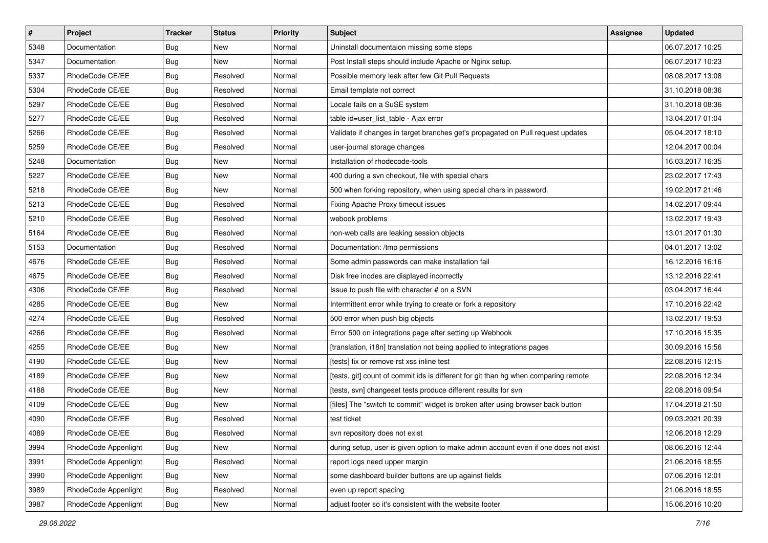| $\pmb{\#}$ | Project              | <b>Tracker</b> | <b>Status</b> | Priority | Subject                                                                             | Assignee | <b>Updated</b>   |
|------------|----------------------|----------------|---------------|----------|-------------------------------------------------------------------------------------|----------|------------------|
| 5348       | Documentation        | <b>Bug</b>     | New           | Normal   | Uninstall documentaion missing some steps                                           |          | 06.07.2017 10:25 |
| 5347       | Documentation        | Bug            | New           | Normal   | Post Install steps should include Apache or Nginx setup.                            |          | 06.07.2017 10:23 |
| 5337       | RhodeCode CE/EE      | <b>Bug</b>     | Resolved      | Normal   | Possible memory leak after few Git Pull Requests                                    |          | 08.08.2017 13:08 |
| 5304       | RhodeCode CE/EE      | <b>Bug</b>     | Resolved      | Normal   | Email template not correct                                                          |          | 31.10.2018 08:36 |
| 5297       | RhodeCode CE/EE      | Bug            | Resolved      | Normal   | Locale fails on a SuSE system                                                       |          | 31.10.2018 08:36 |
| 5277       | RhodeCode CE/EE      | <b>Bug</b>     | Resolved      | Normal   | table id=user_list_table - Ajax error                                               |          | 13.04.2017 01:04 |
| 5266       | RhodeCode CE/EE      | <b>Bug</b>     | Resolved      | Normal   | Validate if changes in target branches get's propagated on Pull request updates     |          | 05.04.2017 18:10 |
| 5259       | RhodeCode CE/EE      | Bug            | Resolved      | Normal   | user-journal storage changes                                                        |          | 12.04.2017 00:04 |
| 5248       | Documentation        | <b>Bug</b>     | New           | Normal   | Installation of rhodecode-tools                                                     |          | 16.03.2017 16:35 |
| 5227       | RhodeCode CE/EE      | <b>Bug</b>     | New           | Normal   | 400 during a svn checkout, file with special chars                                  |          | 23.02.2017 17:43 |
| 5218       | RhodeCode CE/EE      | <b>Bug</b>     | New           | Normal   | 500 when forking repository, when using special chars in password.                  |          | 19.02.2017 21:46 |
| 5213       | RhodeCode CE/EE      | <b>Bug</b>     | Resolved      | Normal   | Fixing Apache Proxy timeout issues                                                  |          | 14.02.2017 09:44 |
| 5210       | RhodeCode CE/EE      | Bug            | Resolved      | Normal   | webook problems                                                                     |          | 13.02.2017 19:43 |
| 5164       | RhodeCode CE/EE      | <b>Bug</b>     | Resolved      | Normal   | non-web calls are leaking session objects                                           |          | 13.01.2017 01:30 |
| 5153       | Documentation        | <b>Bug</b>     | Resolved      | Normal   | Documentation: /tmp permissions                                                     |          | 04.01.2017 13:02 |
| 4676       | RhodeCode CE/EE      | <b>Bug</b>     | Resolved      | Normal   | Some admin passwords can make installation fail                                     |          | 16.12.2016 16:16 |
| 4675       | RhodeCode CE/EE      | <b>Bug</b>     | Resolved      | Normal   | Disk free inodes are displayed incorrectly                                          |          | 13.12.2016 22:41 |
| 4306       | RhodeCode CE/EE      | Bug            | Resolved      | Normal   | Issue to push file with character # on a SVN                                        |          | 03.04.2017 16:44 |
| 4285       | RhodeCode CE/EE      | <b>Bug</b>     | New           | Normal   | Intermittent error while trying to create or fork a repository                      |          | 17.10.2016 22:42 |
| 4274       | RhodeCode CE/EE      | <b>Bug</b>     | Resolved      | Normal   | 500 error when push big objects                                                     |          | 13.02.2017 19:53 |
| 4266       | RhodeCode CE/EE      | Bug            | Resolved      | Normal   | Error 500 on integrations page after setting up Webhook                             |          | 17.10.2016 15:35 |
| 4255       | RhodeCode CE/EE      | <b>Bug</b>     | New           | Normal   | [translation, i18n] translation not being applied to integrations pages             |          | 30.09.2016 15:56 |
| 4190       | RhodeCode CE/EE      | Bug            | <b>New</b>    | Normal   | [tests] fix or remove rst xss inline test                                           |          | 22.08.2016 12:15 |
| 4189       | RhodeCode CE/EE      | <b>Bug</b>     | New           | Normal   | [tests, git] count of commit ids is different for git than hg when comparing remote |          | 22.08.2016 12:34 |
| 4188       | RhodeCode CE/EE      | <b>Bug</b>     | New           | Normal   | [tests, svn] changeset tests produce different results for svn                      |          | 22.08.2016 09:54 |
| 4109       | RhodeCode CE/EE      | <b>Bug</b>     | New           | Normal   | [files] The "switch to commit" widget is broken after using browser back button     |          | 17.04.2018 21:50 |
| 4090       | RhodeCode CE/EE      | <b>Bug</b>     | Resolved      | Normal   | test ticket                                                                         |          | 09.03.2021 20:39 |
| 4089       | RhodeCode CE/EE      | <b>Bug</b>     | Resolved      | Normal   | svn repository does not exist                                                       |          | 12.06.2018 12:29 |
| 3994       | RhodeCode Appenlight | Bug            | New           | Normal   | during setup, user is given option to make admin account even if one does not exist |          | 08.06.2016 12:44 |
| 3991       | RhodeCode Appenlight | Bug            | Resolved      | Normal   | report logs need upper margin                                                       |          | 21.06.2016 18:55 |
| 3990       | RhodeCode Appenlight | Bug            | New           | Normal   | some dashboard builder buttons are up against fields                                |          | 07.06.2016 12:01 |
| 3989       | RhodeCode Appenlight | Bug            | Resolved      | Normal   | even up report spacing                                                              |          | 21.06.2016 18:55 |
| 3987       | RhodeCode Appenlight | Bug            | New           | Normal   | adjust footer so it's consistent with the website footer                            |          | 15.06.2016 10:20 |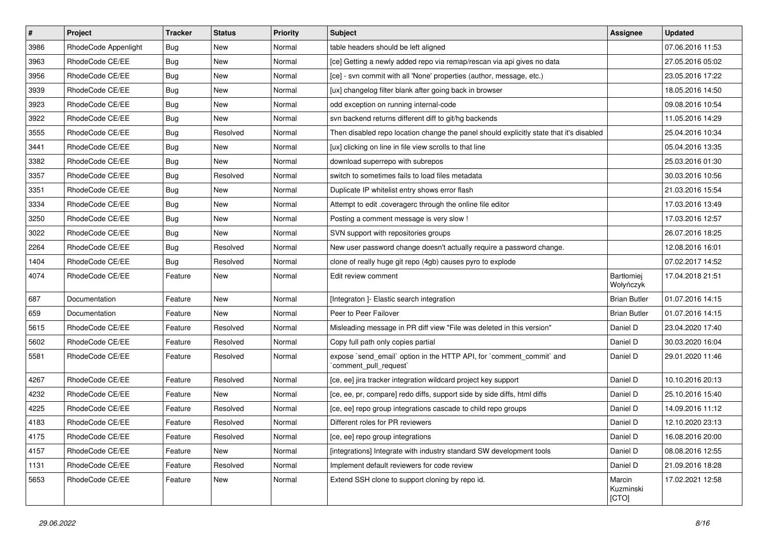| $\sharp$ | Project              | <b>Tracker</b> | <b>Status</b> | Priority | <b>Subject</b>                                                                                 | <b>Assignee</b>                | <b>Updated</b>   |
|----------|----------------------|----------------|---------------|----------|------------------------------------------------------------------------------------------------|--------------------------------|------------------|
| 3986     | RhodeCode Appenlight | <b>Bug</b>     | New           | Normal   | table headers should be left aligned                                                           |                                | 07.06.2016 11:53 |
| 3963     | RhodeCode CE/EE      | Bug            | New           | Normal   | [ce] Getting a newly added repo via remap/rescan via api gives no data                         |                                | 27.05.2016 05:02 |
| 3956     | RhodeCode CE/EE      | <b>Bug</b>     | New           | Normal   | [ce] - svn commit with all 'None' properties (author, message, etc.)                           |                                | 23.05.2016 17:22 |
| 3939     | RhodeCode CE/EE      | <b>Bug</b>     | New           | Normal   | [ux] changelog filter blank after going back in browser                                        |                                | 18.05.2016 14:50 |
| 3923     | RhodeCode CE/EE      | Bug            | New           | Normal   | odd exception on running internal-code                                                         |                                | 09.08.2016 10:54 |
| 3922     | RhodeCode CE/EE      | <b>Bug</b>     | New           | Normal   | svn backend returns different diff to git/hg backends                                          |                                | 11.05.2016 14:29 |
| 3555     | RhodeCode CE/EE      | Bug            | Resolved      | Normal   | Then disabled repo location change the panel should explicitly state that it's disabled        |                                | 25.04.2016 10:34 |
| 3441     | RhodeCode CE/EE      | Bug            | New           | Normal   | [ux] clicking on line in file view scrolls to that line                                        |                                | 05.04.2016 13:35 |
| 3382     | RhodeCode CE/EE      | <b>Bug</b>     | New           | Normal   | download superrepo with subrepos                                                               |                                | 25.03.2016 01:30 |
| 3357     | RhodeCode CE/EE      | <b>Bug</b>     | Resolved      | Normal   | switch to sometimes fails to load files metadata                                               |                                | 30.03.2016 10:56 |
| 3351     | RhodeCode CE/EE      | Bug            | New           | Normal   | Duplicate IP whitelist entry shows error flash                                                 |                                | 21.03.2016 15:54 |
| 3334     | RhodeCode CE/EE      | Bug            | New           | Normal   | Attempt to edit .coveragerc through the online file editor                                     |                                | 17.03.2016 13:49 |
| 3250     | RhodeCode CE/EE      | Bug            | New           | Normal   | Posting a comment message is very slow !                                                       |                                | 17.03.2016 12:57 |
| 3022     | RhodeCode CE/EE      | <b>Bug</b>     | New           | Normal   | SVN support with repositories groups                                                           |                                | 26.07.2016 18:25 |
| 2264     | RhodeCode CE/EE      | <b>Bug</b>     | Resolved      | Normal   | New user password change doesn't actually require a password change.                           |                                | 12.08.2016 16:01 |
| 1404     | RhodeCode CE/EE      | Bug            | Resolved      | Normal   | clone of really huge git repo (4gb) causes pyro to explode                                     |                                | 07.02.2017 14:52 |
| 4074     | RhodeCode CE/EE      | Feature        | New           | Normal   | Edit review comment                                                                            | <b>Bartłomiej</b><br>Wołyńczyk | 17.04.2018 21:51 |
| 687      | Documentation        | Feature        | <b>New</b>    | Normal   | [Integraton] - Elastic search integration                                                      | <b>Brian Butler</b>            | 01.07.2016 14:15 |
| 659      | Documentation        | Feature        | New           | Normal   | Peer to Peer Failover                                                                          | <b>Brian Butler</b>            | 01.07.2016 14:15 |
| 5615     | RhodeCode CE/EE      | Feature        | Resolved      | Normal   | Misleading message in PR diff view "File was deleted in this version"                          | Daniel D                       | 23.04.2020 17:40 |
| 5602     | RhodeCode CE/EE      | Feature        | Resolved      | Normal   | Copy full path only copies partial                                                             | Daniel D                       | 30.03.2020 16:04 |
| 5581     | RhodeCode CE/EE      | Feature        | Resolved      | Normal   | expose `send_email` option in the HTTP API, for `comment_commit` and<br>`comment_pull_request` | Daniel D                       | 29.01.2020 11:46 |
| 4267     | RhodeCode CE/EE      | Feature        | Resolved      | Normal   | [ce, ee] jira tracker integration wildcard project key support                                 | Daniel D                       | 10.10.2016 20:13 |
| 4232     | RhodeCode CE/EE      | Feature        | <b>New</b>    | Normal   | [ce, ee, pr, compare] redo diffs, support side by side diffs, html diffs                       | Daniel D                       | 25.10.2016 15:40 |
| 4225     | RhodeCode CE/EE      | Feature        | Resolved      | Normal   | [ce, ee] repo group integrations cascade to child repo groups                                  | Daniel D                       | 14.09.2016 11:12 |
| 4183     | RhodeCode CE/EE      | Feature        | Resolved      | Normal   | Different roles for PR reviewers                                                               | Daniel D                       | 12.10.2020 23:13 |
| 4175     | RhodeCode CE/EE      | Feature        | Resolved      | Normal   | [ce, ee] repo group integrations                                                               | Daniel D                       | 16.08.2016 20:00 |
| 4157     | RhodeCode CE/EE      | Feature        | <b>New</b>    | Normal   | [integrations] Integrate with industry standard SW development tools                           | Daniel D                       | 08.08.2016 12:55 |
| 1131     | RhodeCode CE/EE      | Feature        | Resolved      | Normal   | Implement default reviewers for code review                                                    | Daniel D                       | 21.09.2016 18:28 |
| 5653     | RhodeCode CE/EE      | Feature        | New           | Normal   | Extend SSH clone to support cloning by repo id.                                                | Marcin<br>Kuzminski<br>[CTO]   | 17.02.2021 12:58 |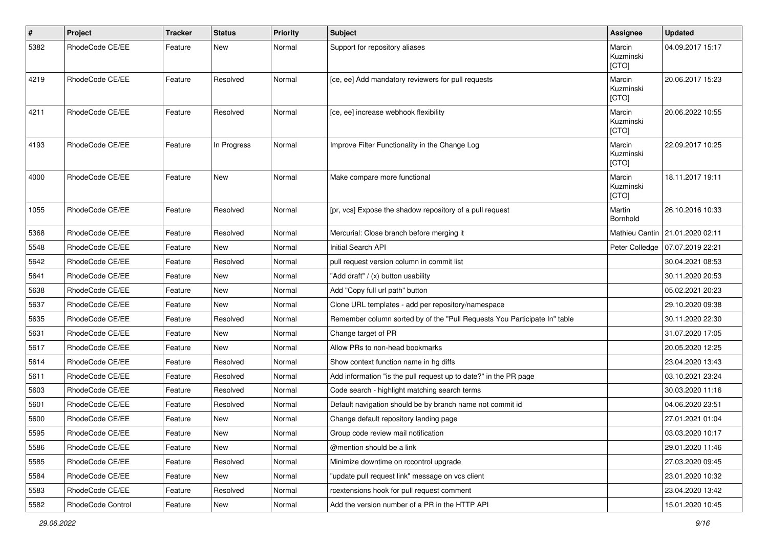| #    | Project           | <b>Tracker</b> | <b>Status</b> | <b>Priority</b> | <b>Subject</b>                                                            | Assignee                     | <b>Updated</b>                  |
|------|-------------------|----------------|---------------|-----------------|---------------------------------------------------------------------------|------------------------------|---------------------------------|
| 5382 | RhodeCode CE/EE   | Feature        | New           | Normal          | Support for repository aliases                                            | Marcin<br>Kuzminski<br>[CTO] | 04.09.2017 15:17                |
| 4219 | RhodeCode CE/EE   | Feature        | Resolved      | Normal          | [ce, ee] Add mandatory reviewers for pull requests                        | Marcin<br>Kuzminski<br>[CTO] | 20.06.2017 15:23                |
| 4211 | RhodeCode CE/EE   | Feature        | Resolved      | Normal          | [ce, ee] increase webhook flexibility                                     | Marcin<br>Kuzminski<br>[CTO] | 20.06.2022 10:55                |
| 4193 | RhodeCode CE/EE   | Feature        | In Progress   | Normal          | Improve Filter Functionality in the Change Log                            | Marcin<br>Kuzminski<br>[CTO] | 22.09.2017 10:25                |
| 4000 | RhodeCode CE/EE   | Feature        | <b>New</b>    | Normal          | Make compare more functional                                              | Marcin<br>Kuzminski<br>[CTO] | 18.11.2017 19:11                |
| 1055 | RhodeCode CE/EE   | Feature        | Resolved      | Normal          | [pr, vcs] Expose the shadow repository of a pull request                  | Martin<br>Bornhold           | 26.10.2016 10:33                |
| 5368 | RhodeCode CE/EE   | Feature        | Resolved      | Normal          | Mercurial: Close branch before merging it                                 |                              | Mathieu Cantin 21.01.2020 02:11 |
| 5548 | RhodeCode CE/EE   | Feature        | <b>New</b>    | Normal          | Initial Search API                                                        | Peter Colledge               | 07.07.2019 22:21                |
| 5642 | RhodeCode CE/EE   | Feature        | Resolved      | Normal          | pull request version column in commit list                                |                              | 30.04.2021 08:53                |
| 5641 | RhodeCode CE/EE   | Feature        | New           | Normal          | "Add draft" / (x) button usability                                        |                              | 30.11.2020 20:53                |
| 5638 | RhodeCode CE/EE   | Feature        | <b>New</b>    | Normal          | Add "Copy full url path" button                                           |                              | 05.02.2021 20:23                |
| 5637 | RhodeCode CE/EE   | Feature        | New           | Normal          | Clone URL templates - add per repository/namespace                        |                              | 29.10.2020 09:38                |
| 5635 | RhodeCode CE/EE   | Feature        | Resolved      | Normal          | Remember column sorted by of the "Pull Requests You Participate In" table |                              | 30.11.2020 22:30                |
| 5631 | RhodeCode CE/EE   | Feature        | New           | Normal          | Change target of PR                                                       |                              | 31.07.2020 17:05                |
| 5617 | RhodeCode CE/EE   | Feature        | New           | Normal          | Allow PRs to non-head bookmarks                                           |                              | 20.05.2020 12:25                |
| 5614 | RhodeCode CE/EE   | Feature        | Resolved      | Normal          | Show context function name in hg diffs                                    |                              | 23.04.2020 13:43                |
| 5611 | RhodeCode CE/EE   | Feature        | Resolved      | Normal          | Add information "is the pull request up to date?" in the PR page          |                              | 03.10.2021 23:24                |
| 5603 | RhodeCode CE/EE   | Feature        | Resolved      | Normal          | Code search - highlight matching search terms                             |                              | 30.03.2020 11:16                |
| 5601 | RhodeCode CE/EE   | Feature        | Resolved      | Normal          | Default navigation should be by branch name not commit id                 |                              | 04.06.2020 23:51                |
| 5600 | RhodeCode CE/EE   | Feature        | New           | Normal          | Change default repository landing page                                    |                              | 27.01.2021 01:04                |
| 5595 | RhodeCode CE/EE   | Feature        | New           | Normal          | Group code review mail notification                                       |                              | 03.03.2020 10:17                |
| 5586 | RhodeCode CE/EE   | Feature        | New           | Normal          | @mention should be a link                                                 |                              | 29.01.2020 11:46                |
| 5585 | RhodeCode CE/EE   | Feature        | Resolved      | Normal          | Minimize downtime on rccontrol upgrade                                    |                              | 27.03.2020 09:45                |
| 5584 | RhodeCode CE/EE   | Feature        | New           | Normal          | "update pull request link" message on vcs client                          |                              | 23.01.2020 10:32                |
| 5583 | RhodeCode CE/EE   | Feature        | Resolved      | Normal          | rcextensions hook for pull request comment                                |                              | 23.04.2020 13:42                |
| 5582 | RhodeCode Control | Feature        | New           | Normal          | Add the version number of a PR in the HTTP API                            |                              | 15.01.2020 10:45                |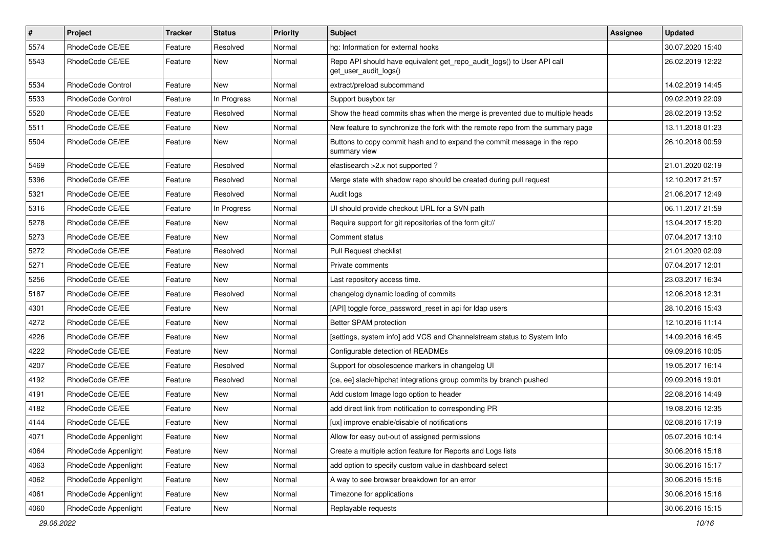| $\vert$ # | Project              | <b>Tracker</b> | <b>Status</b> | <b>Priority</b> | <b>Subject</b>                                                                                  | <b>Assignee</b> | <b>Updated</b>   |
|-----------|----------------------|----------------|---------------|-----------------|-------------------------------------------------------------------------------------------------|-----------------|------------------|
| 5574      | RhodeCode CE/EE      | Feature        | Resolved      | Normal          | hg: Information for external hooks                                                              |                 | 30.07.2020 15:40 |
| 5543      | RhodeCode CE/EE      | Feature        | New           | Normal          | Repo API should have equivalent get_repo_audit_logs() to User API call<br>get user audit logs() |                 | 26.02.2019 12:22 |
| 5534      | RhodeCode Control    | Feature        | <b>New</b>    | Normal          | extract/preload subcommand                                                                      |                 | 14.02.2019 14:45 |
| 5533      | RhodeCode Control    | Feature        | In Progress   | Normal          | Support busybox tar                                                                             |                 | 09.02.2019 22:09 |
| 5520      | RhodeCode CE/EE      | Feature        | Resolved      | Normal          | Show the head commits shas when the merge is prevented due to multiple heads                    |                 | 28.02.2019 13:52 |
| 5511      | RhodeCode CE/EE      | Feature        | New           | Normal          | New feature to synchronize the fork with the remote repo from the summary page                  |                 | 13.11.2018 01:23 |
| 5504      | RhodeCode CE/EE      | Feature        | New           | Normal          | Buttons to copy commit hash and to expand the commit message in the repo<br>summary view        |                 | 26.10.2018 00:59 |
| 5469      | RhodeCode CE/EE      | Feature        | Resolved      | Normal          | elastisearch > 2.x not supported?                                                               |                 | 21.01.2020 02:19 |
| 5396      | RhodeCode CE/EE      | Feature        | Resolved      | Normal          | Merge state with shadow repo should be created during pull request                              |                 | 12.10.2017 21:57 |
| 5321      | RhodeCode CE/EE      | Feature        | Resolved      | Normal          | Audit logs                                                                                      |                 | 21.06.2017 12:49 |
| 5316      | RhodeCode CE/EE      | Feature        | In Progress   | Normal          | UI should provide checkout URL for a SVN path                                                   |                 | 06.11.2017 21:59 |
| 5278      | RhodeCode CE/EE      | Feature        | New           | Normal          | Require support for git repositories of the form git://                                         |                 | 13.04.2017 15:20 |
| 5273      | RhodeCode CE/EE      | Feature        | New           | Normal          | Comment status                                                                                  |                 | 07.04.2017 13:10 |
| 5272      | RhodeCode CE/EE      | Feature        | Resolved      | Normal          | Pull Request checklist                                                                          |                 | 21.01.2020 02:09 |
| 5271      | RhodeCode CE/EE      | Feature        | New           | Normal          | Private comments                                                                                |                 | 07.04.2017 12:01 |
| 5256      | RhodeCode CE/EE      | Feature        | New           | Normal          | Last repository access time.                                                                    |                 | 23.03.2017 16:34 |
| 5187      | RhodeCode CE/EE      | Feature        | Resolved      | Normal          | changelog dynamic loading of commits                                                            |                 | 12.06.2018 12:31 |
| 4301      | RhodeCode CE/EE      | Feature        | New           | Normal          | [API] toggle force_password_reset in api for Idap users                                         |                 | 28.10.2016 15:43 |
| 4272      | RhodeCode CE/EE      | Feature        | New           | Normal          | Better SPAM protection                                                                          |                 | 12.10.2016 11:14 |
| 4226      | RhodeCode CE/EE      | Feature        | New           | Normal          | [settings, system info] add VCS and Channelstream status to System Info                         |                 | 14.09.2016 16:45 |
| 4222      | RhodeCode CE/EE      | Feature        | <b>New</b>    | Normal          | Configurable detection of READMEs                                                               |                 | 09.09.2016 10:05 |
| 4207      | RhodeCode CE/EE      | Feature        | Resolved      | Normal          | Support for obsolescence markers in changelog UI                                                |                 | 19.05.2017 16:14 |
| 4192      | RhodeCode CE/EE      | Feature        | Resolved      | Normal          | [ce, ee] slack/hipchat integrations group commits by branch pushed                              |                 | 09.09.2016 19:01 |
| 4191      | RhodeCode CE/EE      | Feature        | New           | Normal          | Add custom Image logo option to header                                                          |                 | 22.08.2016 14:49 |
| 4182      | RhodeCode CE/EE      | Feature        | New           | Normal          | add direct link from notification to corresponding PR                                           |                 | 19.08.2016 12:35 |
| 4144      | RhodeCode CE/EE      | Feature        | New           | Normal          | [ux] improve enable/disable of notifications                                                    |                 | 02.08.2016 17:19 |
| 4071      | RhodeCode Appenlight | Feature        | New           | Normal          | Allow for easy out-out of assigned permissions                                                  |                 | 05.07.2016 10:14 |
| 4064      | RhodeCode Appenlight | Feature        | New           | Normal          | Create a multiple action feature for Reports and Logs lists                                     |                 | 30.06.2016 15:18 |
| 4063      | RhodeCode Appenlight | Feature        | New           | Normal          | add option to specify custom value in dashboard select                                          |                 | 30.06.2016 15:17 |
| 4062      | RhodeCode Appenlight | Feature        | New           | Normal          | A way to see browser breakdown for an error                                                     |                 | 30.06.2016 15:16 |
| 4061      | RhodeCode Appenlight | Feature        | New           | Normal          | Timezone for applications                                                                       |                 | 30.06.2016 15:16 |
| 4060      | RhodeCode Appenlight | Feature        | New           | Normal          | Replayable requests                                                                             |                 | 30.06.2016 15:15 |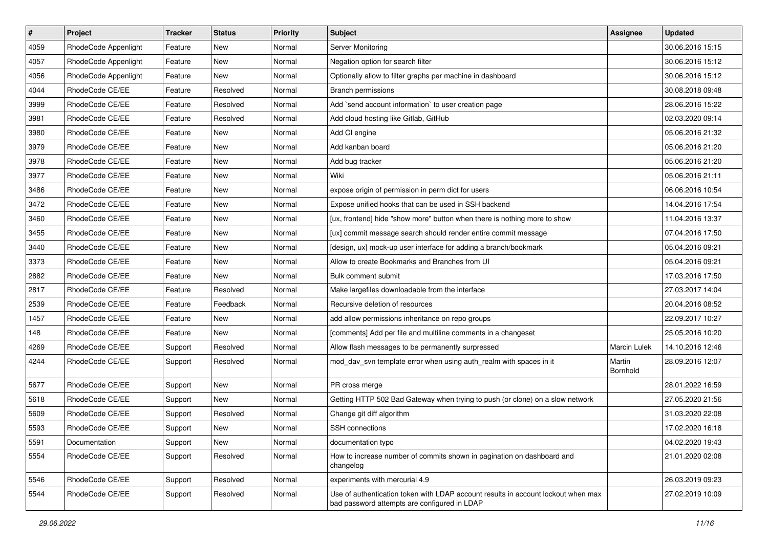| $\vert$ # | Project              | <b>Tracker</b> | <b>Status</b> | <b>Priority</b> | <b>Subject</b>                                                                                                                    | Assignee            | <b>Updated</b>   |
|-----------|----------------------|----------------|---------------|-----------------|-----------------------------------------------------------------------------------------------------------------------------------|---------------------|------------------|
| 4059      | RhodeCode Appenlight | Feature        | New           | Normal          | Server Monitoring                                                                                                                 |                     | 30.06.2016 15:15 |
| 4057      | RhodeCode Appenlight | Feature        | <b>New</b>    | Normal          | Negation option for search filter                                                                                                 |                     | 30.06.2016 15:12 |
| 4056      | RhodeCode Appenlight | Feature        | New           | Normal          | Optionally allow to filter graphs per machine in dashboard                                                                        |                     | 30.06.2016 15:12 |
| 4044      | RhodeCode CE/EE      | Feature        | Resolved      | Normal          | Branch permissions                                                                                                                |                     | 30.08.2018 09:48 |
| 3999      | RhodeCode CE/EE      | Feature        | Resolved      | Normal          | Add `send account information` to user creation page                                                                              |                     | 28.06.2016 15:22 |
| 3981      | RhodeCode CE/EE      | Feature        | Resolved      | Normal          | Add cloud hosting like Gitlab, GitHub                                                                                             |                     | 02.03.2020 09:14 |
| 3980      | RhodeCode CE/EE      | Feature        | New           | Normal          | Add CI engine                                                                                                                     |                     | 05.06.2016 21:32 |
| 3979      | RhodeCode CE/EE      | Feature        | New           | Normal          | Add kanban board                                                                                                                  |                     | 05.06.2016 21:20 |
| 3978      | RhodeCode CE/EE      | Feature        | New           | Normal          | Add bug tracker                                                                                                                   |                     | 05.06.2016 21:20 |
| 3977      | RhodeCode CE/EE      | Feature        | <b>New</b>    | Normal          | Wiki                                                                                                                              |                     | 05.06.2016 21:11 |
| 3486      | RhodeCode CE/EE      | Feature        | New           | Normal          | expose origin of permission in perm dict for users                                                                                |                     | 06.06.2016 10:54 |
| 3472      | RhodeCode CE/EE      | Feature        | New           | Normal          | Expose unified hooks that can be used in SSH backend                                                                              |                     | 14.04.2016 17:54 |
| 3460      | RhodeCode CE/EE      | Feature        | New           | Normal          | [ux, frontend] hide "show more" button when there is nothing more to show                                                         |                     | 11.04.2016 13:37 |
| 3455      | RhodeCode CE/EE      | Feature        | New           | Normal          | [ux] commit message search should render entire commit message                                                                    |                     | 07.04.2016 17:50 |
| 3440      | RhodeCode CE/EE      | Feature        | <b>New</b>    | Normal          | [design, ux] mock-up user interface for adding a branch/bookmark                                                                  |                     | 05.04.2016 09:21 |
| 3373      | RhodeCode CE/EE      | Feature        | New           | Normal          | Allow to create Bookmarks and Branches from UI                                                                                    |                     | 05.04.2016 09:21 |
| 2882      | RhodeCode CE/EE      | Feature        | New           | Normal          | Bulk comment submit                                                                                                               |                     | 17.03.2016 17:50 |
| 2817      | RhodeCode CE/EE      | Feature        | Resolved      | Normal          | Make largefiles downloadable from the interface                                                                                   |                     | 27.03.2017 14:04 |
| 2539      | RhodeCode CE/EE      | Feature        | Feedback      | Normal          | Recursive deletion of resources                                                                                                   |                     | 20.04.2016 08:52 |
| 1457      | RhodeCode CE/EE      | Feature        | New           | Normal          | add allow permissions inheritance on repo groups                                                                                  |                     | 22.09.2017 10:27 |
| 148       | RhodeCode CE/EE      | Feature        | New           | Normal          | [comments] Add per file and multiline comments in a changeset                                                                     |                     | 25.05.2016 10:20 |
| 4269      | RhodeCode CE/EE      | Support        | Resolved      | Normal          | Allow flash messages to be permanently surpressed                                                                                 | <b>Marcin Lulek</b> | 14.10.2016 12:46 |
| 4244      | RhodeCode CE/EE      | Support        | Resolved      | Normal          | mod_dav_svn template error when using auth_realm with spaces in it                                                                | Martin<br>Bornhold  | 28.09.2016 12:07 |
| 5677      | RhodeCode CE/EE      | Support        | New           | Normal          | PR cross merge                                                                                                                    |                     | 28.01.2022 16:59 |
| 5618      | RhodeCode CE/EE      | Support        | <b>New</b>    | Normal          | Getting HTTP 502 Bad Gateway when trying to push (or clone) on a slow network                                                     |                     | 27.05.2020 21:56 |
| 5609      | RhodeCode CE/EE      | Support        | Resolved      | Normal          | Change git diff algorithm                                                                                                         |                     | 31.03.2020 22:08 |
| 5593      | RhodeCode CE/EE      | Support        | New           | Normal          | SSH connections                                                                                                                   |                     | 17.02.2020 16:18 |
| 5591      | Documentation        | Support        | New           | Normal          | documentation typo                                                                                                                |                     | 04.02.2020 19:43 |
| 5554      | RhodeCode CE/EE      | Support        | Resolved      | Normal          | How to increase number of commits shown in pagination on dashboard and<br>changelog                                               |                     | 21.01.2020 02:08 |
| 5546      | RhodeCode CE/EE      | Support        | Resolved      | Normal          | experiments with mercurial 4.9                                                                                                    |                     | 26.03.2019 09:23 |
| 5544      | RhodeCode CE/EE      | Support        | Resolved      | Normal          | Use of authentication token with LDAP account results in account lockout when max<br>bad password attempts are configured in LDAP |                     | 27.02.2019 10:09 |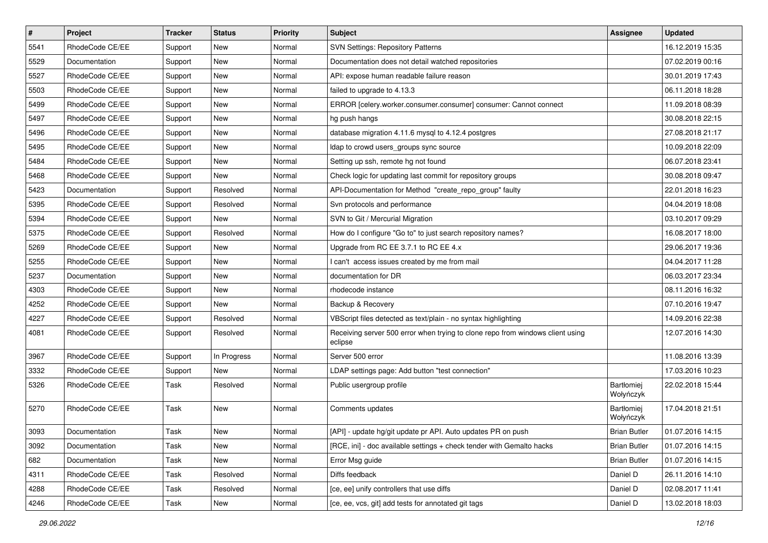| $\pmb{\#}$ | Project         | <b>Tracker</b> | <b>Status</b> | <b>Priority</b> | Subject                                                                                   | Assignee                | <b>Updated</b>   |
|------------|-----------------|----------------|---------------|-----------------|-------------------------------------------------------------------------------------------|-------------------------|------------------|
| 5541       | RhodeCode CE/EE | Support        | <b>New</b>    | Normal          | SVN Settings: Repository Patterns                                                         |                         | 16.12.2019 15:35 |
| 5529       | Documentation   | Support        | New           | Normal          | Documentation does not detail watched repositories                                        |                         | 07.02.2019 00:16 |
| 5527       | RhodeCode CE/EE | Support        | New           | Normal          | API: expose human readable failure reason                                                 |                         | 30.01.2019 17:43 |
| 5503       | RhodeCode CE/EE | Support        | New           | Normal          | failed to upgrade to 4.13.3                                                               |                         | 06.11.2018 18:28 |
| 5499       | RhodeCode CE/EE | Support        | <b>New</b>    | Normal          | ERROR [celery.worker.consumer.consumer] consumer: Cannot connect                          |                         | 11.09.2018 08:39 |
| 5497       | RhodeCode CE/EE | Support        | <b>New</b>    | Normal          | hg push hangs                                                                             |                         | 30.08.2018 22:15 |
| 5496       | RhodeCode CE/EE | Support        | <b>New</b>    | Normal          | database migration 4.11.6 mysql to 4.12.4 postgres                                        |                         | 27.08.2018 21:17 |
| 5495       | RhodeCode CE/EE | Support        | New           | Normal          | Idap to crowd users_groups sync source                                                    |                         | 10.09.2018 22:09 |
| 5484       | RhodeCode CE/EE | Support        | <b>New</b>    | Normal          | Setting up ssh, remote hg not found                                                       |                         | 06.07.2018 23:41 |
| 5468       | RhodeCode CE/EE | Support        | New           | Normal          | Check logic for updating last commit for repository groups                                |                         | 30.08.2018 09:47 |
| 5423       | Documentation   | Support        | Resolved      | Normal          | API-Documentation for Method "create_repo_group" faulty                                   |                         | 22.01.2018 16:23 |
| 5395       | RhodeCode CE/EE | Support        | Resolved      | Normal          | Svn protocols and performance                                                             |                         | 04.04.2019 18:08 |
| 5394       | RhodeCode CE/EE | Support        | <b>New</b>    | Normal          | SVN to Git / Mercurial Migration                                                          |                         | 03.10.2017 09:29 |
| 5375       | RhodeCode CE/EE | Support        | Resolved      | Normal          | How do I configure "Go to" to just search repository names?                               |                         | 16.08.2017 18:00 |
| 5269       | RhodeCode CE/EE | Support        | <b>New</b>    | Normal          | Upgrade from RC EE 3.7.1 to RC EE 4.x                                                     |                         | 29.06.2017 19:36 |
| 5255       | RhodeCode CE/EE | Support        | New           | Normal          | I can't access issues created by me from mail                                             |                         | 04.04.2017 11:28 |
| 5237       | Documentation   | Support        | New           | Normal          | documentation for DR                                                                      |                         | 06.03.2017 23:34 |
| 4303       | RhodeCode CE/EE | Support        | <b>New</b>    | Normal          | rhodecode instance                                                                        |                         | 08.11.2016 16:32 |
| 4252       | RhodeCode CE/EE | Support        | <b>New</b>    | Normal          | Backup & Recovery                                                                         |                         | 07.10.2016 19:47 |
| 4227       | RhodeCode CE/EE | Support        | Resolved      | Normal          | VBScript files detected as text/plain - no syntax highlighting                            |                         | 14.09.2016 22:38 |
| 4081       | RhodeCode CE/EE | Support        | Resolved      | Normal          | Receiving server 500 error when trying to clone repo from windows client using<br>eclipse |                         | 12.07.2016 14:30 |
| 3967       | RhodeCode CE/EE | Support        | In Progress   | Normal          | Server 500 error                                                                          |                         | 11.08.2016 13:39 |
| 3332       | RhodeCode CE/EE | Support        | <b>New</b>    | Normal          | LDAP settings page: Add button "test connection"                                          |                         | 17.03.2016 10:23 |
| 5326       | RhodeCode CE/EE | Task           | Resolved      | Normal          | Public usergroup profile                                                                  | Bartłomiej<br>Wołyńczyk | 22.02.2018 15:44 |
| 5270       | RhodeCode CE/EE | Task           | <b>New</b>    | Normal          | Comments updates                                                                          | Bartłomiej<br>Wołyńczyk | 17.04.2018 21:51 |
| 3093       | Documentation   | Task           | New           | Normal          | [API] - update hg/git update pr API. Auto updates PR on push                              | <b>Brian Butler</b>     | 01.07.2016 14:15 |
| 3092       | Documentation   | Task           | New           | Normal          | [RCE, ini] - doc available settings + check tender with Gemalto hacks                     | <b>Brian Butler</b>     | 01.07.2016 14:15 |
| 682        | Documentation   | Task           | New           | Normal          | Error Msg guide                                                                           | <b>Brian Butler</b>     | 01.07.2016 14:15 |
| 4311       | RhodeCode CE/EE | Task           | Resolved      | Normal          | Diffs feedback                                                                            | Daniel D                | 26.11.2016 14:10 |
| 4288       | RhodeCode CE/EE | Task           | Resolved      | Normal          | [ce, ee] unify controllers that use diffs                                                 | Daniel D                | 02.08.2017 11:41 |
| 4246       | RhodeCode CE/EE | Task           | New           | Normal          | [ce, ee, vcs, git] add tests for annotated git tags                                       | Daniel D                | 13.02.2018 18:03 |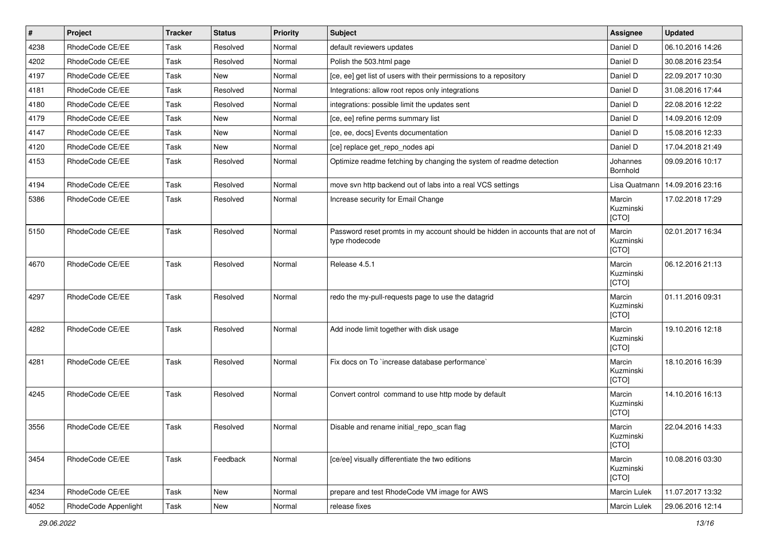| $\vert$ # | Project              | Tracker | <b>Status</b> | Priority | <b>Subject</b>                                                                                     | <b>Assignee</b>              | <b>Updated</b>   |
|-----------|----------------------|---------|---------------|----------|----------------------------------------------------------------------------------------------------|------------------------------|------------------|
| 4238      | RhodeCode CE/EE      | Task    | Resolved      | Normal   | default reviewers updates                                                                          | Daniel D                     | 06.10.2016 14:26 |
| 4202      | RhodeCode CE/EE      | Task    | Resolved      | Normal   | Polish the 503.html page                                                                           | Daniel D                     | 30.08.2016 23:54 |
| 4197      | RhodeCode CE/EE      | Task    | New           | Normal   | [ce, ee] get list of users with their permissions to a repository                                  | Daniel D                     | 22.09.2017 10:30 |
| 4181      | RhodeCode CE/EE      | Task    | Resolved      | Normal   | Integrations: allow root repos only integrations                                                   | Daniel D                     | 31.08.2016 17:44 |
| 4180      | RhodeCode CE/EE      | Task    | Resolved      | Normal   | integrations: possible limit the updates sent                                                      | Daniel D                     | 22.08.2016 12:22 |
| 4179      | RhodeCode CE/EE      | Task    | New           | Normal   | [ce, ee] refine perms summary list                                                                 | Daniel D                     | 14.09.2016 12:09 |
| 4147      | RhodeCode CE/EE      | Task    | <b>New</b>    | Normal   | [ce, ee, docs] Events documentation                                                                | Daniel D                     | 15.08.2016 12:33 |
| 4120      | RhodeCode CE/EE      | Task    | <b>New</b>    | Normal   | [ce] replace get_repo_nodes api                                                                    | Daniel D                     | 17.04.2018 21:49 |
| 4153      | RhodeCode CE/EE      | Task    | Resolved      | Normal   | Optimize readme fetching by changing the system of readme detection                                | Johannes<br>Bornhold         | 09.09.2016 10:17 |
| 4194      | RhodeCode CE/EE      | Task    | Resolved      | Normal   | move svn http backend out of labs into a real VCS settings                                         | Lisa Quatmann                | 14.09.2016 23:16 |
| 5386      | RhodeCode CE/EE      | Task    | Resolved      | Normal   | Increase security for Email Change                                                                 | Marcin<br>Kuzminski<br>[CTO] | 17.02.2018 17:29 |
| 5150      | RhodeCode CE/EE      | Task    | Resolved      | Normal   | Password reset promts in my account should be hidden in accounts that are not of<br>type rhodecode | Marcin<br>Kuzminski<br>[CTO] | 02.01.2017 16:34 |
| 4670      | RhodeCode CE/EE      | Task    | Resolved      | Normal   | Release 4.5.1                                                                                      | Marcin<br>Kuzminski<br>[CTO] | 06.12.2016 21:13 |
| 4297      | RhodeCode CE/EE      | Task    | Resolved      | Normal   | redo the my-pull-requests page to use the datagrid                                                 | Marcin<br>Kuzminski<br>[CTO] | 01.11.2016 09:31 |
| 4282      | RhodeCode CE/EE      | Task    | Resolved      | Normal   | Add inode limit together with disk usage                                                           | Marcin<br>Kuzminski<br>[CTO] | 19.10.2016 12:18 |
| 4281      | RhodeCode CE/EE      | Task    | Resolved      | Normal   | Fix docs on To `increase database performance`                                                     | Marcin<br>Kuzminski<br>[CTO] | 18.10.2016 16:39 |
| 4245      | RhodeCode CE/EE      | Task    | Resolved      | Normal   | Convert control command to use http mode by default                                                | Marcin<br>Kuzminski<br>[CTO] | 14.10.2016 16:13 |
| 3556      | RhodeCode CE/EE      | Task    | Resolved      | Normal   | Disable and rename initial repo scan flag                                                          | Marcin<br>Kuzminski<br>[CTO] | 22.04.2016 14:33 |
| 3454      | RhodeCode CE/EE      | Task    | Feedback      | Normal   | [ce/ee] visually differentiate the two editions                                                    | Marcin<br>Kuzminski<br>[CTO] | 10.08.2016 03:30 |
| 4234      | RhodeCode CE/EE      | Task    | <b>New</b>    | Normal   | prepare and test RhodeCode VM image for AWS                                                        | Marcin Lulek                 | 11.07.2017 13:32 |
| 4052      | RhodeCode Appenlight | Task    | New           | Normal   | release fixes                                                                                      | Marcin Lulek                 | 29.06.2016 12:14 |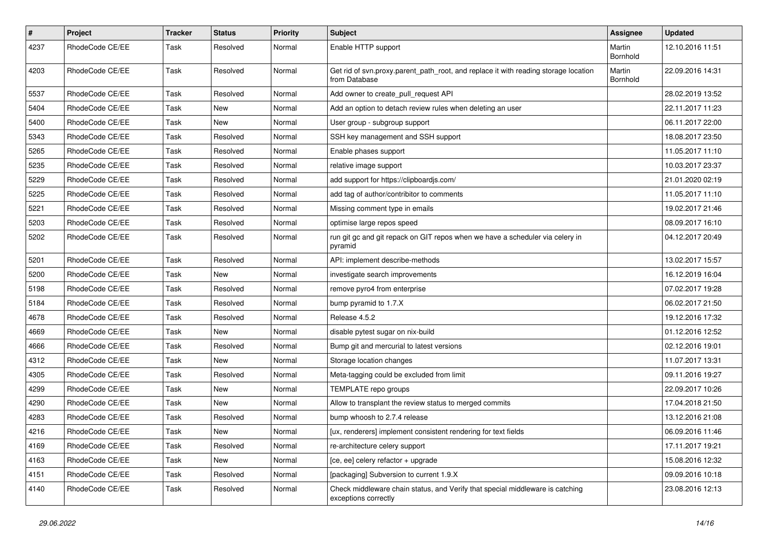| $\pmb{\#}$ | Project         | <b>Tracker</b> | <b>Status</b> | <b>Priority</b> | Subject                                                                                               | Assignee           | <b>Updated</b>   |
|------------|-----------------|----------------|---------------|-----------------|-------------------------------------------------------------------------------------------------------|--------------------|------------------|
| 4237       | RhodeCode CE/EE | Task           | Resolved      | Normal          | Enable HTTP support                                                                                   | Martin<br>Bornhold | 12.10.2016 11:51 |
| 4203       | RhodeCode CE/EE | Task           | Resolved      | Normal          | Get rid of svn.proxy.parent_path_root, and replace it with reading storage location<br>from Database  | Martin<br>Bornhold | 22.09.2016 14:31 |
| 5537       | RhodeCode CE/EE | Task           | Resolved      | Normal          | Add owner to create_pull_request API                                                                  |                    | 28.02.2019 13:52 |
| 5404       | RhodeCode CE/EE | Task           | New           | Normal          | Add an option to detach review rules when deleting an user                                            |                    | 22.11.2017 11:23 |
| 5400       | RhodeCode CE/EE | Task           | New           | Normal          | User group - subgroup support                                                                         |                    | 06.11.2017 22:00 |
| 5343       | RhodeCode CE/EE | Task           | Resolved      | Normal          | SSH key management and SSH support                                                                    |                    | 18.08.2017 23:50 |
| 5265       | RhodeCode CE/EE | Task           | Resolved      | Normal          | Enable phases support                                                                                 |                    | 11.05.2017 11:10 |
| 5235       | RhodeCode CE/EE | Task           | Resolved      | Normal          | relative image support                                                                                |                    | 10.03.2017 23:37 |
| 5229       | RhodeCode CE/EE | Task           | Resolved      | Normal          | add support for https://clipboardjs.com/                                                              |                    | 21.01.2020 02:19 |
| 5225       | RhodeCode CE/EE | Task           | Resolved      | Normal          | add tag of author/contribitor to comments                                                             |                    | 11.05.2017 11:10 |
| 5221       | RhodeCode CE/EE | Task           | Resolved      | Normal          | Missing comment type in emails                                                                        |                    | 19.02.2017 21:46 |
| 5203       | RhodeCode CE/EE | Task           | Resolved      | Normal          | optimise large repos speed                                                                            |                    | 08.09.2017 16:10 |
| 5202       | RhodeCode CE/EE | Task           | Resolved      | Normal          | run git gc and git repack on GIT repos when we have a scheduler via celery in<br>pyramid              |                    | 04.12.2017 20:49 |
| 5201       | RhodeCode CE/EE | Task           | Resolved      | Normal          | API: implement describe-methods                                                                       |                    | 13.02.2017 15:57 |
| 5200       | RhodeCode CE/EE | Task           | New           | Normal          | investigate search improvements                                                                       |                    | 16.12.2019 16:04 |
| 5198       | RhodeCode CE/EE | Task           | Resolved      | Normal          | remove pyro4 from enterprise                                                                          |                    | 07.02.2017 19:28 |
| 5184       | RhodeCode CE/EE | Task           | Resolved      | Normal          | bump pyramid to 1.7.X                                                                                 |                    | 06.02.2017 21:50 |
| 4678       | RhodeCode CE/EE | Task           | Resolved      | Normal          | Release 4.5.2                                                                                         |                    | 19.12.2016 17:32 |
| 4669       | RhodeCode CE/EE | Task           | New           | Normal          | disable pytest sugar on nix-build                                                                     |                    | 01.12.2016 12:52 |
| 4666       | RhodeCode CE/EE | Task           | Resolved      | Normal          | Bump git and mercurial to latest versions                                                             |                    | 02.12.2016 19:01 |
| 4312       | RhodeCode CE/EE | Task           | New           | Normal          | Storage location changes                                                                              |                    | 11.07.2017 13:31 |
| 4305       | RhodeCode CE/EE | Task           | Resolved      | Normal          | Meta-tagging could be excluded from limit                                                             |                    | 09.11.2016 19:27 |
| 4299       | RhodeCode CE/EE | Task           | New           | Normal          | TEMPLATE repo groups                                                                                  |                    | 22.09.2017 10:26 |
| 4290       | RhodeCode CE/EE | Task           | <b>New</b>    | Normal          | Allow to transplant the review status to merged commits                                               |                    | 17.04.2018 21:50 |
| 4283       | RhodeCode CE/EE | Task           | Resolved      | Normal          | bump whoosh to 2.7.4 release                                                                          |                    | 13.12.2016 21:08 |
| 4216       | RhodeCode CE/EE | Task           | New           | Normal          | [ux, renderers] implement consistent rendering for text fields                                        |                    | 06.09.2016 11:46 |
| 4169       | RhodeCode CE/EE | Task           | Resolved      | Normal          | re-architecture celery support                                                                        |                    | 17.11.2017 19:21 |
| 4163       | RhodeCode CE/EE | Task           | New           | Normal          | [ce, ee] celery refactor + upgrade                                                                    |                    | 15.08.2016 12:32 |
| 4151       | RhodeCode CE/EE | Task           | Resolved      | Normal          | [packaging] Subversion to current 1.9.X                                                               |                    | 09.09.2016 10:18 |
| 4140       | RhodeCode CE/EE | Task           | Resolved      | Normal          | Check middleware chain status, and Verify that special middleware is catching<br>exceptions correctly |                    | 23.08.2016 12:13 |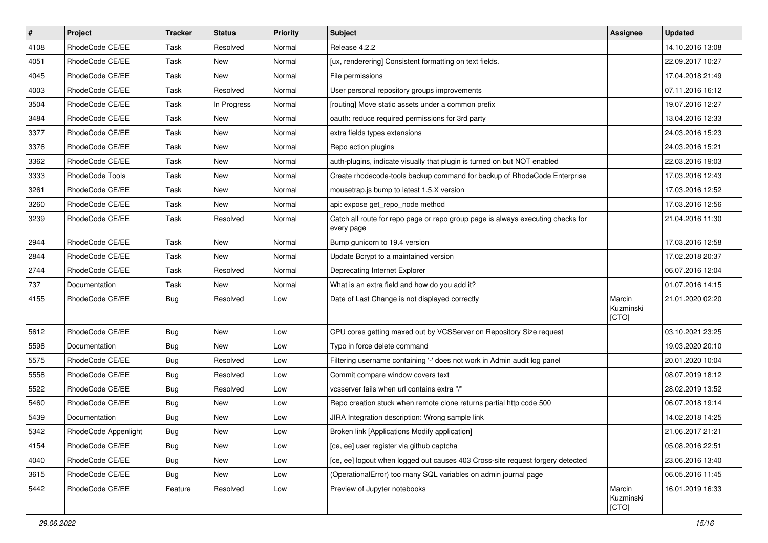| $\vert$ # | Project              | <b>Tracker</b> | <b>Status</b> | <b>Priority</b> | <b>Subject</b>                                                                                | <b>Assignee</b>              | <b>Updated</b>   |
|-----------|----------------------|----------------|---------------|-----------------|-----------------------------------------------------------------------------------------------|------------------------------|------------------|
| 4108      | RhodeCode CE/EE      | Task           | Resolved      | Normal          | Release 4.2.2                                                                                 |                              | 14.10.2016 13:08 |
| 4051      | RhodeCode CE/EE      | Task           | New           | Normal          | [ux, renderering] Consistent formatting on text fields.                                       |                              | 22.09.2017 10:27 |
| 4045      | RhodeCode CE/EE      | Task           | New           | Normal          | File permissions                                                                              |                              | 17.04.2018 21:49 |
| 4003      | RhodeCode CE/EE      | Task           | Resolved      | Normal          | User personal repository groups improvements                                                  |                              | 07.11.2016 16:12 |
| 3504      | RhodeCode CE/EE      | Task           | In Progress   | Normal          | [routing] Move static assets under a common prefix                                            |                              | 19.07.2016 12:27 |
| 3484      | RhodeCode CE/EE      | Task           | New           | Normal          | oauth: reduce required permissions for 3rd party                                              |                              | 13.04.2016 12:33 |
| 3377      | RhodeCode CE/EE      | Task           | New           | Normal          | extra fields types extensions                                                                 |                              | 24.03.2016 15:23 |
| 3376      | RhodeCode CE/EE      | Task           | New           | Normal          | Repo action plugins                                                                           |                              | 24.03.2016 15:21 |
| 3362      | RhodeCode CE/EE      | Task           | New           | Normal          | auth-plugins, indicate visually that plugin is turned on but NOT enabled                      |                              | 22.03.2016 19:03 |
| 3333      | RhodeCode Tools      | Task           | New           | Normal          | Create rhodecode-tools backup command for backup of RhodeCode Enterprise                      |                              | 17.03.2016 12:43 |
| 3261      | RhodeCode CE/EE      | Task           | New           | Normal          | mousetrap.js bump to latest 1.5.X version                                                     |                              | 17.03.2016 12:52 |
| 3260      | RhodeCode CE/EE      | Task           | New           | Normal          | api: expose get repo node method                                                              |                              | 17.03.2016 12:56 |
| 3239      | RhodeCode CE/EE      | Task           | Resolved      | Normal          | Catch all route for repo page or repo group page is always executing checks for<br>every page |                              | 21.04.2016 11:30 |
| 2944      | RhodeCode CE/EE      | Task           | New           | Normal          | Bump gunicorn to 19.4 version                                                                 |                              | 17.03.2016 12:58 |
| 2844      | RhodeCode CE/EE      | Task           | New           | Normal          | Update Bcrypt to a maintained version                                                         |                              | 17.02.2018 20:37 |
| 2744      | RhodeCode CE/EE      | Task           | Resolved      | Normal          | Deprecating Internet Explorer                                                                 |                              | 06.07.2016 12:04 |
| 737       | Documentation        | Task           | New           | Normal          | What is an extra field and how do you add it?                                                 |                              | 01.07.2016 14:15 |
| 4155      | RhodeCode CE/EE      | Bug            | Resolved      | Low             | Date of Last Change is not displayed correctly                                                | Marcin<br>Kuzminski<br>[CTO] | 21.01.2020 02:20 |
| 5612      | RhodeCode CE/EE      | <b>Bug</b>     | New           | Low             | CPU cores getting maxed out by VCSServer on Repository Size request                           |                              | 03.10.2021 23:25 |
| 5598      | Documentation        | <b>Bug</b>     | New           | Low             | Typo in force delete command                                                                  |                              | 19.03.2020 20:10 |
| 5575      | RhodeCode CE/EE      | <b>Bug</b>     | Resolved      | Low             | Filtering username containing '-' does not work in Admin audit log panel                      |                              | 20.01.2020 10:04 |
| 5558      | RhodeCode CE/EE      | <b>Bug</b>     | Resolved      | Low             | Commit compare window covers text                                                             |                              | 08.07.2019 18:12 |
| 5522      | RhodeCode CE/EE      | Bug            | Resolved      | Low             | vcsserver fails when url contains extra "/"                                                   |                              | 28.02.2019 13:52 |
| 5460      | RhodeCode CE/EE      | <b>Bug</b>     | New           | Low             | Repo creation stuck when remote clone returns partial http code 500                           |                              | 06.07.2018 19:14 |
| 5439      | Documentation        | Bug            | New           | Low             | JIRA Integration description: Wrong sample link                                               |                              | 14.02.2018 14:25 |
| 5342      | RhodeCode Appenlight | Bug            | New           | Low             | Broken link [Applications Modify application]                                                 |                              | 21.06.2017 21:21 |
| 4154      | RhodeCode CE/EE      | <b>Bug</b>     | New           | Low             | [ce, ee] user register via github captcha                                                     |                              | 05.08.2016 22:51 |
| 4040      | RhodeCode CE/EE      | Bug            | New           | Low             | [ce, ee] logout when logged out causes 403 Cross-site request forgery detected                |                              | 23.06.2016 13:40 |
| 3615      | RhodeCode CE/EE      | Bug            | New           | Low             | (OperationalError) too many SQL variables on admin journal page                               |                              | 06.05.2016 11:45 |
| 5442      | RhodeCode CE/EE      | Feature        | Resolved      | Low             | Preview of Jupyter notebooks                                                                  | Marcin<br>Kuzminski<br>[CTO] | 16.01.2019 16:33 |